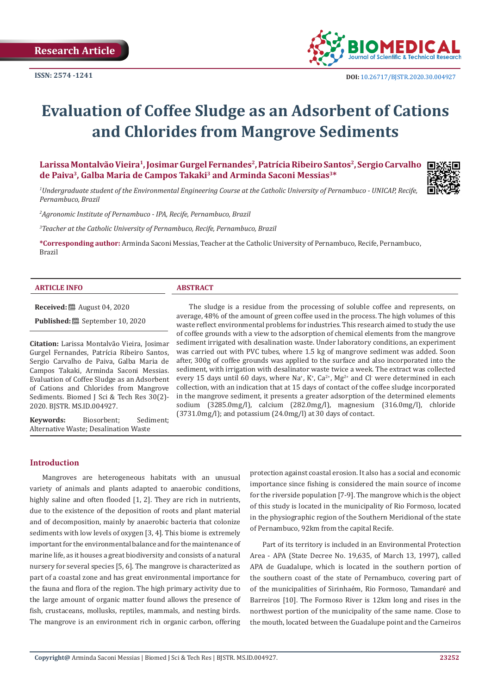

# **Evaluation of Coffee Sludge as an Adsorbent of Cations and Chlorides from Mangrove Sediments**

Larissa Montalvão Vieira<sup>1</sup>, Josimar Gurgel Fernandes<sup>2</sup>, Patrícia Ribeiro Santos<sup>2</sup>, Sergio Carvalho **de Paiva3, Galba Maria de Campos Takaki3 and Arminda Saconi Messias3\***



*1 Undergraduate student of the Environmental Engineering Course at the Catholic University of Pernambuco - UNICAP, Recife, Pernambuco, Brazil*

*2 Agronomic Institute of Pernambuco - IPA, Recife, Pernambuco, Brazil*

*3 Teacher at the Catholic University of Pernambuco, Recife, Pernambuco, Brazil*

**\*Corresponding author:** Arminda Saconi Messias, Teacher at the Catholic University of Pernambuco, Recife, Pernambuco, Brazil

#### **ARTICLE INFO ABSTRACT**

**Received:** 圖 August 04, 2020

**Published:** September 10, 2020

**Citation:** Larissa Montalvão Vieira, Josimar Gurgel Fernandes, Patrícia Ribeiro Santos, Sergio Carvalho de Paiva, Galba Maria de Campos Takaki, Arminda Saconi Messias. Evaluation of Coffee Sludge as an Adsorbent of Cations and Chlorides from Mangrove Sediments. Biomed J Sci & Tech Res 30(2)- 2020. BJSTR. MS.ID.004927.

**Keywords:** Biosorbent; Sediment; Alternative Waste; Desalination Waste

#### **Introduction**

Mangroves are heterogeneous habitats with an unusual variety of animals and plants adapted to anaerobic conditions, highly saline and often flooded [1, 2]. They are rich in nutrients, due to the existence of the deposition of roots and plant material and of decomposition, mainly by anaerobic bacteria that colonize sediments with low levels of oxygen [3, 4]. This biome is extremely important for the environmental balance and for the maintenance of marine life, as it houses a great biodiversity and consists of a natural nursery for several species [5, 6]. The mangrove is characterized as part of a coastal zone and has great environmental importance for the fauna and flora of the region. The high primary activity due to the large amount of organic matter found allows the presence of fish, crustaceans, mollusks, reptiles, mammals, and nesting birds. The mangrove is an environment rich in organic carbon, offering

The sludge is a residue from the processing of soluble coffee and represents, on average, 48% of the amount of green coffee used in the process. The high volumes of this waste reflect environmental problems for industries. This research aimed to study the use of coffee grounds with a view to the adsorption of chemical elements from the mangrove sediment irrigated with desalination waste. Under laboratory conditions, an experiment was carried out with PVC tubes, where 1.5 kg of mangrove sediment was added. Soon after, 300g of coffee grounds was applied to the surface and also incorporated into the sediment, with irrigation with desalinator waste twice a week. The extract was collected every 15 days until 60 days, where Na<sup>+</sup>, K<sup>+</sup>, Ca<sup>2+</sup>, Mg<sup>2+</sup> and Cl<sup>-</sup> were determined in each collection, with an indication that at 15 days of contact of the coffee sludge incorporated in the mangrove sediment, it presents a greater adsorption of the determined elements sodium (3285.0mg/l), calcium (282.0mg/l), magnesium (316.0mg/l), chloride (3731.0mg/l); and potassium (24.0mg/l) at 30 days of contact.

> protection against coastal erosion. It also has a social and economic importance since fishing is considered the main source of income for the riverside population [7-9]. The mangrove which is the object of this study is located in the municipality of Rio Formoso, located in the physiographic region of the Southern Meridional of the state of Pernambuco, 92km from the capital Recife.

> Part of its territory is included in an Environmental Protection Area - APA (State Decree No. 19,635, of March 13, 1997), called APA de Guadalupe, which is located in the southern portion of the southern coast of the state of Pernambuco, covering part of of the municipalities of Sirinhaém, Rio Formoso, Tamandaré and Barreiros [10]. The Formoso River is 12km long and rises in the northwest portion of the municipality of the same name. Close to the mouth, located between the Guadalupe point and the Carneiros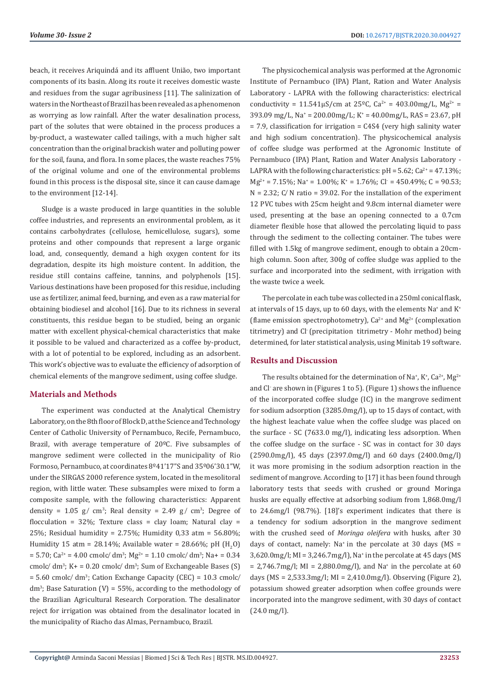beach, it receives Ariquindá and its affluent União, two important components of its basin. Along its route it receives domestic waste and residues from the sugar agribusiness [11]. The salinization of waters in the Northeast of Brazil has been revealed as a phenomenon as worrying as low rainfall. After the water desalination process, part of the solutes that were obtained in the process produces a by-product, a wastewater called tailings, with a much higher salt concentration than the original brackish water and polluting power for the soil, fauna, and flora. In some places, the waste reaches 75% of the original volume and one of the environmental problems found in this process is the disposal site, since it can cause damage to the environment [12-14].

Sludge is a waste produced in large quantities in the soluble coffee industries, and represents an environmental problem, as it contains carbohydrates (cellulose, hemicellulose, sugars), some proteins and other compounds that represent a large organic load, and, consequently, demand a high oxygen content for its degradation, despite its high moisture content. In addition, the residue still contains caffeine, tannins, and polyphenols [15]. Various destinations have been proposed for this residue, including use as fertilizer, animal feed, burning, and even as a raw material for obtaining biodiesel and alcohol [16]. Due to its richness in several constituents, this residue began to be studied, being an organic matter with excellent physical-chemical characteristics that make it possible to be valued and characterized as a coffee by-product, with a lot of potential to be explored, including as an adsorbent. This work's objective was to evaluate the efficiency of adsorption of chemical elements of the mangrove sediment, using coffee sludge.

# **Materials and Methods**

The experiment was conducted at the Analytical Chemistry Laboratory, on the 8th floor of Block D, at the Science and Technology Center of Catholic University of Pernambuco, Recife, Pernambuco, Brazil, with average temperature of 20ºC. Five subsamples of mangrove sediment were collected in the municipality of Rio Formoso, Pernambuco, at coordinates 8º41'17"S and 35º06'30.1"W, under the SIRGAS 2000 reference system, located in the mesolitoral region, with little water. These subsamples were mixed to form a composite sample, with the following characteristics: Apparent density =  $1.05$  g/ cm<sup>3</sup>; Real density =  $2.49$  g/ cm<sup>3</sup>; Degree of flocculation =  $32\%$ ; Texture class = clay loam; Natural clay = 25%; Residual humidity = 2.75%; Humidity 0,33 atm = 56.80%; Humidity 15 atm = 28.14%; Available water = 28.66%; pH  $(H_2O)$  $= 5.70$ ; Ca<sup>2+</sup> = 4.00 cmolc/ dm<sup>3</sup>; Mg<sup>2+</sup> = 1.10 cmolc/ dm<sup>3</sup>; Na+ = 0.34 cmolc/  $dm^3$ ; K+ = 0.20 cmolc/  $dm^3$ ; Sum of Exchangeable Bases (S)  $= 5.60$  cmolc/ dm<sup>3</sup>; Cation Exchange Capacity (CEC)  $= 10.3$  cmolc/  $dm^3$ ; Base Saturation (V) = 55%, according to the methodology of the Brazilian Agricultural Research Corporation. The desalinator reject for irrigation was obtained from the desalinator located in the municipality of Riacho das Almas, Pernambuco, Brazil.

The physicochemical analysis was performed at the Agronomic Institute of Pernambuco (IPA) Plant, Ration and Water Analysis Laboratory - LAPRA with the following characteristics: electrical conductivity =  $11.541 \mu S/cm$  at  $25^{\circ}C$ ,  $Ca^{2+} = 403.00 \text{mg/L}$ ,  $Mg^{2+} =$ 393.09 mg/L, Na<sup>+</sup> = 200.00mg/L; K<sup>+</sup> = 40.00mg/L, RAS = 23.67, pH  $= 7.9$ , classification for irrigation  $= C4S4$  (very high salinity water and high sodium concentration). The physicochemical analysis of coffee sludge was performed at the Agronomic Institute of Pernambuco (IPA) Plant, Ration and Water Analysis Laboratory - LAPRA with the following characteristics:  $pH = 5.62$ ;  $Ca^{2+} = 47.13\%$ ;  $Mg^{2+} = 7.15\%$ ; Na<sup>+</sup> = 1.00%; K<sup>+</sup> = 1.76%; Cl<sup>-</sup> = 450.49%; C = 90.53;  $N = 2.32$ ; C/N ratio = 39.02. For the installation of the experiment 12 PVC tubes with 25cm height and 9.8cm internal diameter were used, presenting at the base an opening connected to a 0.7cm diameter flexible hose that allowed the percolating liquid to pass through the sediment to the collecting container. The tubes were filled with 1.5kg of mangrove sediment, enough to obtain a 20cmhigh column. Soon after, 300g of coffee sludge was applied to the surface and incorporated into the sediment, with irrigation with the waste twice a week.

The percolate in each tube was collected in a 250ml conical flask, at intervals of 15 days, up to 60 days, with the elements Na<sup>+</sup> and K<sup>+</sup> (flame emission spectrophotometry),  $Ca^{2+}$  and  $Mg^{2+}$  (complexation titrimetry) and Cl- (precipitation titrimetry - Mohr method) being determined, for later statistical analysis, using Minitab 19 software.

# **Results and Discussion**

The results obtained for the determination of Na<sup>+</sup>, K<sup>+</sup>, Ca<sup>2+</sup>, Mg<sup>2+</sup> and Cl- are shown in (Figures 1 to 5). (Figure 1) shows the influence of the incorporated coffee sludge (IC) in the mangrove sediment for sodium adsorption (3285.0mg/l), up to 15 days of contact, with the highest leachate value when the coffee sludge was placed on the surface - SC (7633.0 mg/l), indicating less adsorption. When the coffee sludge on the surface - SC was in contact for 30 days (2590.0mg/l), 45 days (2397.0mg/l) and 60 days (2400.0mg/l) it was more promising in the sodium adsorption reaction in the sediment of mangrove. According to [17] it has been found through laboratory tests that seeds with crushed or ground Moringa husks are equally effective at adsorbing sodium from 1,868.0mg/l to 24.6mg/l (98.7%). [18]'s experiment indicates that there is a tendency for sodium adsorption in the mangrove sediment with the crushed seed of *Moringa oleifera* with husks, after 30 days of contact, namely: Na<sup>+</sup> in the percolate at 30 days (MS = 3,620.0mg/l; MI = 3,246.7mg/l), Na<sup>+</sup> in the percolate at 45 days (MS = 2,746.7mg/l; MI = 2,880.0mg/l), and Na<sup>+</sup> in the percolate at 60 days (MS = 2,533.3mg/l; MI = 2,410.0mg/l). Observing (Figure 2), potassium showed greater adsorption when coffee grounds were incorporated into the mangrove sediment, with 30 days of contact (24.0 mg/l).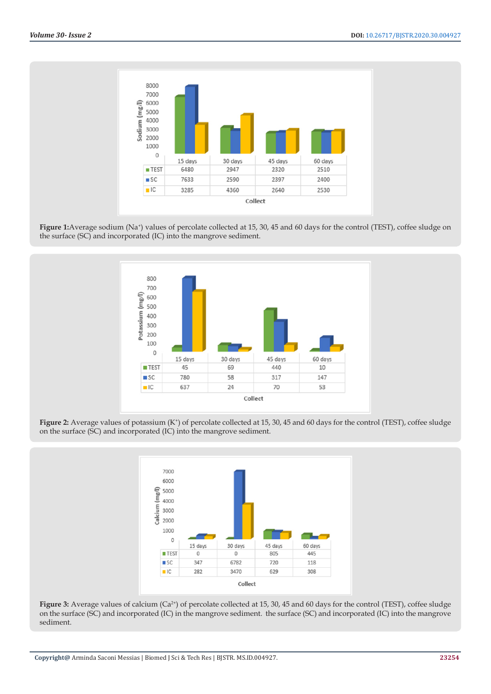

Figure 1: Average sodium (Na<sup>+</sup>) values of percolate collected at 15, 30, 45 and 60 days for the control (TEST), coffee sludge on the surface (SC) and incorporated (IC) into the mangrove sediment.



Figure 2: Average values of potassium (K<sup>+</sup>) of percolate collected at 15, 30, 45 and 60 days for the control (TEST), coffee sludge on the surface (SC) and incorporated (IC) into the mangrove sediment.



Figure 3: Average values of calcium (Ca<sup>2+</sup>) of percolate collected at 15, 30, 45 and 60 days for the control (TEST), coffee sludge on the surface (SC) and incorporated (IC) in the mangrove sediment. the surface (SC) and incorporated (IC) into the mangrove sediment.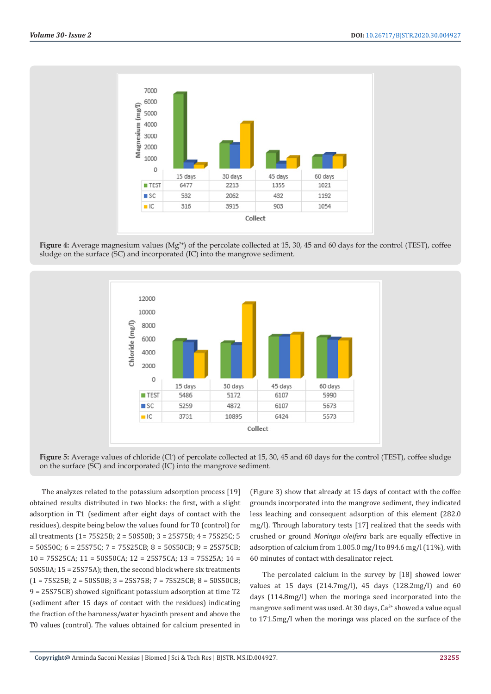

**Figure 4:** Average magnesium values (Mg<sup>2+</sup>) of the percolate collected at 15, 30, 45 and 60 days for the control (TEST), coffee sludge on the surface (SC) and incorporated (IC) into the mangrove sediment.



Figure 5: Average values of chloride (Cl<sup>-</sup>) of percolate collected at 15, 30, 45 and 60 days for the control (TEST), coffee sludge on the surface (SC) and incorporated (IC) into the mangrove sediment.

The analyzes related to the potassium adsorption process [19] obtained results distributed in two blocks: the first, with a slight adsorption in T1 (sediment after eight days of contact with the residues), despite being below the values found for T0 (control) for all treatments (1= 75S25B; 2 = 50S50B; 3 = 25S75B; 4 = 75S25C; 5 = 50S50C; 6 = 25S75C; 7 = 75S25CB; 8 = 50S50CB; 9 = 25S75CB; 10 = 75S25CA; 11 = 50S50CA; 12 = 25S75CA; 13 = 75S25A; 14 = 50S50A; 15 = 25S75A); then, the second block where six treatments  $(1 = 75S25B; 2 = 50S50B; 3 = 25S75B; 7 = 75S25CB; 8 = 50S50CB;$ 9 = 25S75CB) showed significant potassium adsorption at time T2 (sediment after 15 days of contact with the residues) indicating the fraction of the baroness/water hyacinth present and above the T0 values (control). The values obtained for calcium presented in

(Figure 3) show that already at 15 days of contact with the coffee grounds incorporated into the mangrove sediment, they indicated less leaching and consequent adsorption of this element (282.0 mg/l). Through laboratory tests [17] realized that the seeds with crushed or ground *Moringa oleifera* bark are equally effective in adsorption of calcium from 1.005.0 mg/l to 894.6 mg/l (11%), with 60 minutes of contact with desalinator reject.

The percolated calcium in the survey by [18] showed lower values at 15 days (214.7mg/l), 45 days (128.2mg/l) and 60 days (114.8mg/l) when the moringa seed incorporated into the mangrove sediment was used. At 30 days, Ca<sup>2+</sup> showed a value equal to 171.5mg/l when the moringa was placed on the surface of the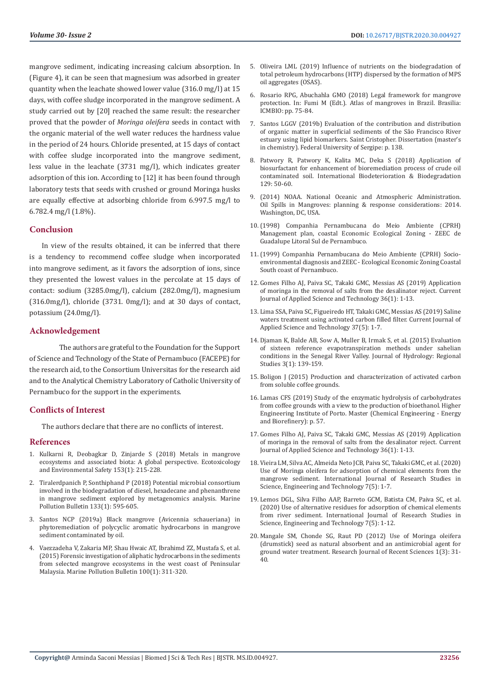mangrove sediment, indicating increasing calcium absorption. In (Figure 4), it can be seen that magnesium was adsorbed in greater quantity when the leachate showed lower value (316.0 mg/l) at 15 days, with coffee sludge incorporated in the mangrove sediment. A study carried out by [20] reached the same result: the researcher proved that the powder of *Moringa oleifera* seeds in contact with the organic material of the well water reduces the hardness value in the period of 24 hours. Chloride presented, at 15 days of contact with coffee sludge incorporated into the mangrove sediment, less value in the leachate (3731 mg/l), which indicates greater adsorption of this ion. According to [12] it has been found through laboratory tests that seeds with crushed or ground Moringa husks are equally effective at adsorbing chloride from 6.997.5 mg/l to 6.782.4 mg/l (1.8%).

# **Conclusion**

In view of the results obtained, it can be inferred that there is a tendency to recommend coffee sludge when incorporated into mangrove sediment, as it favors the adsorption of ions, since they presented the lowest values in the percolate at 15 days of contact: sodium (3285.0mg/l), calcium (282.0mg/l), magnesium (316.0mg/l), chloride (3731. 0mg/l); and at 30 days of contact, potassium (24.0mg/l).

#### **Acknowledgement**

The authors are grateful to the Foundation for the Support of Science and Technology of the State of Pernambuco (FACEPE) for the research aid, to the Consortium Universitas for the research aid and to the Analytical Chemistry Laboratory of Catholic University of Pernambuco for the support in the experiments.

# **Conflicts of Interest**

The authors declare that there are no conflicts of interest.

#### **References**

- 1. Kulkarni R, Deobagkar D, Zinjarde S (2018) Metals in mangrove ecosystems and associated biota: A global perspective. Ecotoxicology and Environmental Safety 153(1): 215-228.
- 2. [Tiralerdpanich P, Sonthiphand P \(2018\) Potential microbial consortium](https://www.sciencedirect.com/science/article/abs/pii/S0025326X18304120)  [involved in the biodegradation of diesel, hexadecane and phenanthrene](https://www.sciencedirect.com/science/article/abs/pii/S0025326X18304120)  [in mangrove sediment explored by metagenomics analysis. Marine](https://www.sciencedirect.com/science/article/abs/pii/S0025326X18304120)  [Pollution Bulletin 133\(1\): 595-605.](https://www.sciencedirect.com/science/article/abs/pii/S0025326X18304120)
- 3. Santos NCP (2019a) Black mangrove (Avicennia schaueriana) in phytoremediation of polycyclic aromatic hydrocarbons in mangrove sediment contaminated by oil.
- 4. [Vaezzadeha V, Zakaria MP, Shau Hwaic AT, Ibrahimd ZZ, Mustafa S, et al.](https://pubmed.ncbi.nlm.nih.gov/26323864/)  [\(2015\) Forensic investigation of aliphatic hydrocarbons in the sediments](https://pubmed.ncbi.nlm.nih.gov/26323864/)  [from selected mangrove ecosystems in the west coast of Peninsular](https://pubmed.ncbi.nlm.nih.gov/26323864/)  [Malaysia. Marine Pollution Bulletin 100\(1\): 311-320.](https://pubmed.ncbi.nlm.nih.gov/26323864/)
- 5. Oliveira LML (2019) Influence of nutrients on the biodegradation of total petroleum hydrocarbons (HTP) dispersed by the formation of MPS oil aggregates (OSAS).
- 6. Rosario RPG, Abuchahla GMO (2018) Legal framework for mangrove protection. In: Fumi M (Edt.). Atlas of mangroves in Brazil. Brasilia: ICMBIO: pp. 75-84.
- 7. Santos LGGV (2019b) Evaluation of the contribution and distribution of organic matter in superficial sediments of the São Francisco River estuary using lipid biomarkers. Saint Cristopher. Dissertation (master's in chemistry). Federal University of Sergipe: p. 138.
- 8. Patwory R, Patwory K, Kalita MC, Deka S (2018) Application of biosurfactant for enhancement of bioremediation process of crude oil contaminated soil. International Biodeterioration & Biodegradation 129: 50-60.
- 9. (2014) NOAA. National Oceanic and Atmospheric Administration. Oil Spills in Mangroves: planning & response considerations: 2014. Washington, DC, USA.
- 10.(1998) Companhia Pernambucana do Meio Ambiente (CPRH) Management plan, coastal Economic Ecological Zoning - ZEEC de Guadalupe Litoral Sul de Pernambuco.
- 11.(1999) Companhia Pernambucana do Meio Ambiente (CPRH) Socioenvironmental diagnosis and ZEEC - Ecological Economic Zoning Coastal South coast of Pernambuco.
- 12. [Gomes Filho AJ, Paiva SC, Takaki GMC, Messias AS \(2019\) Application](https://www.researchgate.net/publication/333854292_Application_of_Moringa_in_the_Removal_of_Salts_from_the_Desalinator_Reject) [of moringa in the removal of salts from the desalinator reject. Current](https://www.researchgate.net/publication/333854292_Application_of_Moringa_in_the_Removal_of_Salts_from_the_Desalinator_Reject) [Journal of Applied Science and Technology 36\(1\): 1-13.](https://www.researchgate.net/publication/333854292_Application_of_Moringa_in_the_Removal_of_Salts_from_the_Desalinator_Reject)
- 13. [Lima SSA, Paiva SC, Figueiredo HT, Takaki GMC, Messias AS \(2019\) Saline](https://www.journalcjast.com/index.php/CJAST/article/view/30306) [waters treatment using activated carbon filled filter. Current Journal of](https://www.journalcjast.com/index.php/CJAST/article/view/30306) [Applied Science and Technology 37\(5\): 1-7.](https://www.journalcjast.com/index.php/CJAST/article/view/30306)
- 14. [Djaman K, Balde AB, Sow A, Muller B, Irmak S, et al. \(2015\) Evaluation](https://www.sciencedirect.com/science/article/pii/S2214581815000063) [of sixteen reference evapotranspiration methods under sahelian](https://www.sciencedirect.com/science/article/pii/S2214581815000063) [conditions in the Senegal River Valley. Journal of Hydrology: Regional](https://www.sciencedirect.com/science/article/pii/S2214581815000063) [Studies 3\(1\): 139-159.](https://www.sciencedirect.com/science/article/pii/S2214581815000063)
- 15. Boligon J (2015) Production and characterization of activated carbon from soluble coffee grounds.
- 16. Lamas CFS (2019) Study of the enzymatic hydrolysis of carbohydrates from coffee grounds with a view to the production of bioethanol. Higher Engineering Institute of Porto. Master (Chemical Engineering - Energy and Biorefinery): p. 57.
- 17. [Gomes Filho AJ, Paiva SC, Takaki GMC, Messias AS \(2019\) Application](https://www.researchgate.net/publication/333854292_Application_of_Moringa_in_the_Removal_of_Salts_from_the_Desalinator_Reject) [of moringa in the removal of salts from the desalinator reject. Current](https://www.researchgate.net/publication/333854292_Application_of_Moringa_in_the_Removal_of_Salts_from_the_Desalinator_Reject) [Journal of Applied Science and Technology 36\(1\): 1-13.](https://www.researchgate.net/publication/333854292_Application_of_Moringa_in_the_Removal_of_Salts_from_the_Desalinator_Reject)
- 18. [Vieira LM, Silva AC, Almeida Neto JCB, Paiva SC, Takaki GMC, et al. \(2020\)](http://www.ijrsset.org/pdfs/v7-i6/1.pdf) [Use of Moringa oleifera for adsorption of chemical elements from the](http://www.ijrsset.org/pdfs/v7-i6/1.pdf) [mangrove sediment. International Journal of Research Studies in](http://www.ijrsset.org/pdfs/v7-i6/1.pdf) [Science, Engineering and Technology 7\(5\): 1-7.](http://www.ijrsset.org/pdfs/v7-i6/1.pdf)
- 19. Lemos DGL, Silva Filho AAP, Barreto GCM, Batista CM, Paiva SC, et al. (2020) Use of alternative residues for adsorption of chemical elements from river sediment. International Journal of Research Studies in Science, Engineering and Technology 7(5): 1-12.
- 20. Mangale SM, Chonde SG, Raut PD (2012) Use of Moringa oleifera (drumstick) seed as natural absorbent and an antimicrobial agent for ground water treatment. Research Journal of Recent Sciences 1(3): 31- 40.